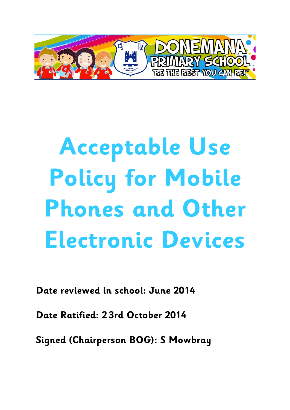

# **Acceptable Use Policy for Mobile Phones and Other Electronic Devices**

**Date reviewed in school: June 2014**

**Date Ratified: 2 3rd October 2014**

**Signed (Chairperson BOG): S Mowbray**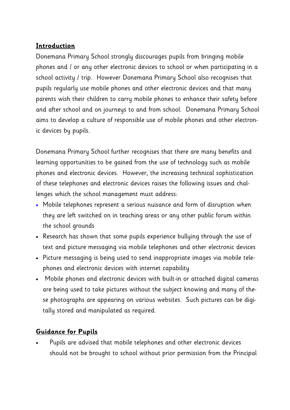### **Introduction**

Donemana Primary School strongly discourages pupils from bringing mobile phones and / or any other electronic devices to school or when participating in a school activity / trip. However Donemana Primary School also recognises that pupils regularly use mobile phones and other electronic devices and that many parents wish their children to carry mobile phones to enhance their safety before and after school and on journeys to and from school. Donemana Primary School aims to develop a culture of responsible use of mobile phones and other electronic devices by pupils.

Donemana Primary School further recognises that there are many benefits and learning opportunities to be gained from the use of technology such as mobile phones and electronic devices. However, the increasing technical sophistication of these telephones and electronic devices raises the following issues and challenges which the school management must address:

- Mobile telephones represent a serious nuisance and form of disruption when they are left switched on in teaching areas or any other public forum within the school grounds
- Research has shown that some pupils experience bullying through the use of text and picture messaging via mobile telephones and other electronic devices
- Picture messaging is being used to send inappropriate images via mobile telephones and electronic devices with internet capability
- Mobile phones and electronic devices with built-in or attached digital cameras are being used to take pictures without the subject knowing and many of these photographs are appearing on various websites. Such pictures can be digitally stored and manipulated as required.

## **Guidance for Pupils**

 Pupils are advised that mobile telephones and other electronic devices should not be brought to school without prior permission from the Principal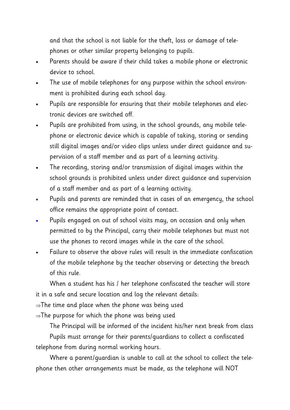and that the school is not liable for the theft, loss or damage of telephones or other similar property belonging to pupils.

- Parents should be aware if their child takes a mobile phone or electronic device to school.
- The use of mobile telephones for any purpose within the school environment is prohibited during each school day.
- Pupils are responsible for ensuring that their mobile telephones and electronic devices are switched off.
- Pupils are prohibited from using, in the school grounds, any mobile telephone or electronic device which is capable of taking, storing or sending still digital images and/or video clips unless under direct guidance and supervision of a staff member and as part of a learning activity.
- The recording, storing and/or transmission of digital images within the school grounds is prohibited unless under direct guidance and supervision of a staff member and as part of a learning activity.
- Pupils and parents are reminded that in cases of an emergency, the school office remains the appropriate point of contact.
- Pupils engaged on out of school visits may, on occasion and only when permitted to by the Principal, carry their mobile telephones but must not use the phones to record images while in the care of the school.
- Failure to observe the above rules will result in the immediate confiscation of the mobile telephone by the teacher observing or detecting the breach of this rule.

When a student has his / her telephone confiscated the teacher will store it in a safe and secure location and log the relevant details:

 $\Rightarrow$ The time and place when the phone was being used

 $\Rightarrow$ The purpose for which the phone was being used

The Principal will be informed of the incident his/her next break from class

Pupils must arrange for their parents/guardians to collect a confiscated telephone from during normal working hours.

Where a parent/guardian is unable to call at the school to collect the telephone then other arrangements must be made, as the telephone will NOT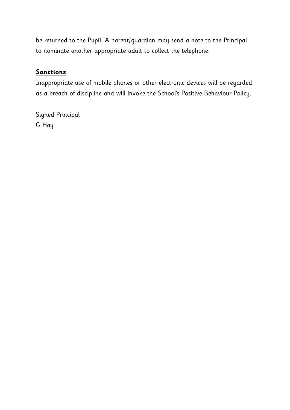be returned to the Pupil. A parent/guardian may send a note to the Principal to nominate another appropriate adult to collect the telephone.

#### **Sanctions**

Inappropriate use of mobile phones or other electronic devices will be regarded as a breach of discipline and will invoke the School's Positive Behaviour Policy.

Signed Principal G Hay